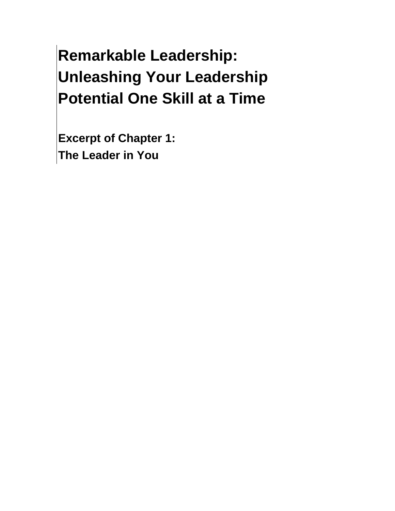# **Remarkable Leadership: Unleashing Your Leadership Potential One Skill at a Time**

**Excerpt of Chapter 1:** The Leader in You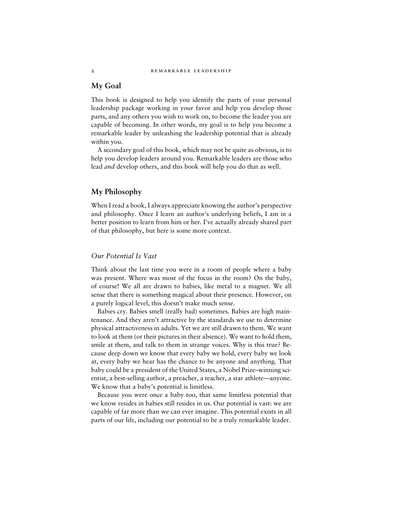#### **My Goal**

This book is designed to help you identify the parts of your personal leadership package working in your favor and help you develop those parts, and any others you wish to work on, to become the leader you are capable of becoming. In other words, my goal is to help you become a remarkable leader by unleashing the leadership potential that is already within you.

A secondary goal of this book, which may not be quite as obvious, is to help you develop leaders around you. Remarkable leaders are those who lead and develop others, and this book will help you do that as well.

# My Philosophy

When I read a book, I always appreciate knowing the author's perspective and philosophy. Once I learn an author's underlying beliefs, I am in a better position to learn from him or her. I've actually already shared part of that philosophy, but here is some more context.

#### Our Potential Is Vast

Think about the last time you were in a room of people where a baby was present. Where was most of the focus in the room? On the baby, of course! We all are drawn to babies, like metal to a magnet. We all sense that there is something magical about their presence. However, on a purely logical level, this doesn't make much sense.

Babies cry. Babies smell (really bad) sometimes. Babies are high maintenance. And they aren't attractive by the standards we use to determine physical attractiveness in adults. Yet we are still drawn to them. We want to look at them (or their pictures in their absence). We want to hold them, smile at them, and talk to them in strange voices. Why is this true? Because deep down we know that every baby we hold, every baby we look at, every baby we hear has the chance to be anyone and anything. That baby could be a president of the United States, a Nobel Prize–winning sci-entist, a best-selling author, a preacher, a teacher, a star athlete—anyone. We know that a baby's potential is limitless.

Because you were once a baby too, that same limitless potential that we know resides in babies still resides in us. Our potential is vast: we are capable of far more than we can ever imagine. This potential exists in all parts of our life, including our potential to be a truly remarkable leader.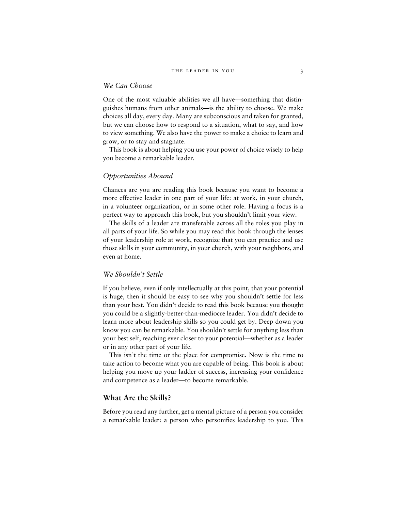## We Can Choose

One of the most valuable abilities we all have—something that distinguishes humans from other animals—is the ability to choose. We make choices all day, every day. Many are subconscious and taken for granted, but we can choose how to respond to a situation, what to say, and how to view something. We also have the power to make a choice to learn and grow, or to stay and stagnate.

This book is about helping you use your power of choice wisely to help you become a remarkable leader.

# Opportunities Abound

Chances are you are reading this book because you want to become a more effective leader in one part of your life: at work, in your church, in a volunteer organization, or in some other role. Having a focus is a perfect way to approach this book, but you shouldn't limit your view.

The skills of a leader are transferable across all the roles you play in all parts of your life. So while you may read this book through the lenses of your leadership role at work, recognize that you can practice and use those skills in your community, in your church, with your neighbors, and even at home.

#### We Shouldn't Settle

If you believe, even if only intellectually at this point, that your potential is huge, then it should be easy to see why you shouldn't settle for less than your best. You didn't decide to read this book because you thought you could be a slightly-better-than-mediocre leader. You didn't decide to learn more about leadership skills so you could get by. Deep down you know you can be remarkable. You shouldn't settle for anything less than your best self, reaching ever closer to your potential—whether as a leader or in any other part of your life.

This isn't the time or the place for compromise. Now is the time to take action to become what you are capable of being. This book is about helping you move up your ladder of success, increasing your confidence and competence as a leader—to become remarkable.

# What Are the Skills?

Before you read any further, get a mental picture of a person you consider a remarkable leader: a person who personifies leadership to you. This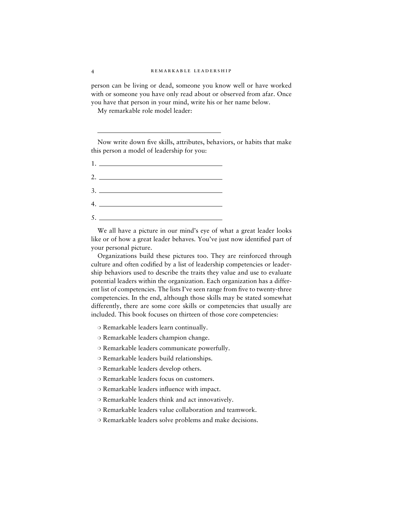#### 4 REMARKABLE LEADERSHIP

person can be living or dead, someone you know well or have worked with or someone you have only read about or observed from afar. Once you have that person in your mind, write his or her name below.

My remarkable role model leader:

Now write down five skills, attributes, behaviors, or habits that make this person a model of leadership for you:

1 . 2 .

- 3 .
- 4 .
- $5.$

We all have a picture in our mind's eye of what a great leader looks like or of how a great leader behaves. You've just now identified part of your personal picture.

Organizations build these pictures too. They are reinforced through culture and often codified by a list of leadership competencies or leadership behaviors used to describe the traits they value and use to evaluate potential leaders within the organization. Each organization has a different list of competencies. The lists I've seen range from five to twenty-three competencies. In the end, although those skills may be stated somewhat differently, there are some core skills or competencies that usually are included. This book focuses on thirteen of those core competencies:

- ❍ Remarkable leaders learn continually.
- ❍ Remarkable leaders champion change.
- ❍ Remarkable leaders communicate powerfully.
- ❍ Remarkable leaders build relationships.
- ❍ Remarkable leaders develop others.
- ❍ Remarkable leaders focus on customers.
- ❍ Remarkable leaders influence with impact.
- ❍ Remarkable leaders think and act innovatively.
- ❍ Remarkable leaders value collaboration and teamwork.
- ❍ Remarkable leaders solve problems and make decisions.